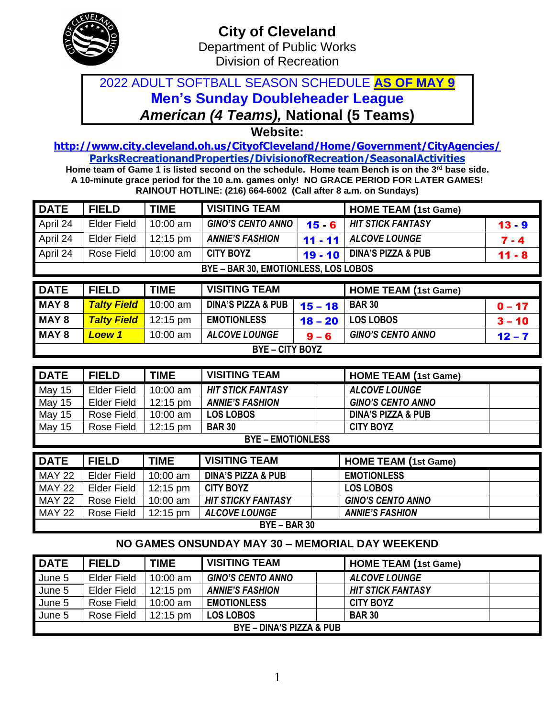

## 2022 ADULT SOFTBALL SEASON SCHEDULE **AS OF MAY 9 Men's Sunday Doubleheader League** *American (4 Teams),* **National (5 Teams)**

**Website:** 

**<http://www.city.cleveland.oh.us/CityofCleveland/Home/Government/CityAgencies/> ParksRecreationandProperties/DivisionofRecreation/SeasonalActivities**

**Home team of Game 1 is listed second on the schedule. Home team Bench is on the 3rd base side. A 10-minute grace period for the 10 a.m. games only! NO GRACE PERIOD FOR LATER GAMES! RAINOUT HOTLINE: (216) 664-6002 (Call after 8 a.m. on Sundays)**

| <b>FIELD</b>                         | <b>TIME</b>        | <b>VISITING TEAM</b>                 |             | <b>HOME TEAM (1st Game)</b>               |          |  |  |  |
|--------------------------------------|--------------------|--------------------------------------|-------------|-------------------------------------------|----------|--|--|--|
| <b>Elder Field</b>                   | 10:00 am           | <b>GINO'S CENTO ANNO</b><br>$15 - 6$ |             | <b>HIT STICK FANTASY</b>                  | $13 - 9$ |  |  |  |
| <b>Elder Field</b>                   | 12:15 pm           | <b>ANNIE'S FASHION</b>               | $11 - 11$   | <b>ALCOVE LOUNGE</b>                      | $7 - 4$  |  |  |  |
| Rose Field                           | 10:00 am           | <b>CITY BOYZ</b><br>$19 - 10$        |             | <b>DINA'S PIZZA &amp; PUB</b><br>$11 - 8$ |          |  |  |  |
| BYE - BAR 30, EMOTIONLESS, LOS LOBOS |                    |                                      |             |                                           |          |  |  |  |
| <b>FIELD</b>                         |                    | <b>VISITING TEAM</b>                 |             | <b>HOME TEAM (1st Game)</b>               |          |  |  |  |
|                                      |                    |                                      |             |                                           |          |  |  |  |
| <b>Talty Field</b>                   | 10:00 am           | <b>DINA'S PIZZA &amp; PUB</b>        | $15 - 18$   | <b>BAR 30</b>                             | $0 - 17$ |  |  |  |
| <b>Talty Field</b>                   | $12:15 \text{ pm}$ | <b>EMOTIONLESS</b>                   | $18 - 20$   | <b>LOS LOBOS</b>                          | $3 - 10$ |  |  |  |
| <b>Loew 1</b>                        | 10:00 am           | <b>ALCOVE LOUNGE</b>                 | $9 - 6$     | <b>GINO'S CENTO ANNO</b>                  | $12 - 7$ |  |  |  |
|                                      |                    |                                      | <b>TIME</b> |                                           |          |  |  |  |

| <b>DATE</b>              | <b>FIELD</b> | <b>TIME</b>        | <b>VISITING TEAM</b>     | <b>HOME TEAM (1st Game)</b>   |  |  |  |  |
|--------------------------|--------------|--------------------|--------------------------|-------------------------------|--|--|--|--|
| May 15                   | Elder Field  | $10:00$ am         | <b>HIT STICK FANTASY</b> | <b>ALCOVE LOUNGE</b>          |  |  |  |  |
| May 15                   | Elder Field  | $12:15 \text{ pm}$ | <b>ANNIE'S FASHION</b>   | <b>GINO'S CENTO ANNO</b>      |  |  |  |  |
| May 15                   | Rose Field   | $10:00$ am         | <b>LOS LOBOS</b>         | <b>DINA'S PIZZA &amp; PUB</b> |  |  |  |  |
| May 15                   | Rose Field   | $12:15 \text{ pm}$ | <b>BAR 30</b>            | <b>CITY BOYZ</b>              |  |  |  |  |
| <b>BYE – EMOTIONLESS</b> |              |                    |                          |                               |  |  |  |  |
|                          |              |                    |                          |                               |  |  |  |  |

| <b>DATE</b>    | <b>FIELD</b>       | <b>TIME</b>        | <b>VISITING TEAM</b>          | <b>HOME TEAM (1st Game)</b> |  |  |
|----------------|--------------------|--------------------|-------------------------------|-----------------------------|--|--|
| <b>MAY 22</b>  | <b>Elder Field</b> | $10:00$ am         | <b>DINA'S PIZZA &amp; PUB</b> | <b>EMOTIONLESS</b>          |  |  |
| <b>MAY 22</b>  | Elder Field        | $12:15 \text{ pm}$ | <b>CITY BOYZ</b>              | <b>LOS LOBOS</b>            |  |  |
| <b>MAY 22</b>  | Rose Field         | 10:00 $\text{am}$  | <b>HIT STICKY FANTASY</b>     | <b>GINO'S CENTO ANNO</b>    |  |  |
| <b>MAY 22</b>  | Rose Field         | $12:15 \text{ pm}$ | <b>ALCOVE LOUNGE</b>          | <b>ANNIE'S FASHION</b>      |  |  |
| $BYE - BAR 30$ |                    |                    |                               |                             |  |  |

## **NO GAMES ONSUNDAY MAY 30 – MEMORIAL DAY WEEKEND**

| <b>DATE</b>                         | <b>FIELD</b>       | <b>TIME</b>        | <b>VISITING TEAM</b>     | <b>HOME TEAM (1st Game)</b> |  |  |
|-------------------------------------|--------------------|--------------------|--------------------------|-----------------------------|--|--|
| June 5                              | Elder Field        | $10:00$ am         | <b>GINO'S CENTO ANNO</b> | <b>ALCOVE LOUNGE</b>        |  |  |
| June 5                              | <b>Elder Field</b> | $12:15 \text{ pm}$ | <b>ANNIE'S FASHION</b>   | <b>HIT STICK FANTASY</b>    |  |  |
| June 5                              | Rose Field         | $10:00$ am         | <b>EMOTIONLESS</b>       | <b>CITY BOYZ</b>            |  |  |
| June 5                              | Rose Field         | $12:15 \text{ pm}$ | <b>LOS LOBOS</b>         | <b>BAR 30</b>               |  |  |
| <b>BYE - DINA'S PIZZA &amp; PUB</b> |                    |                    |                          |                             |  |  |